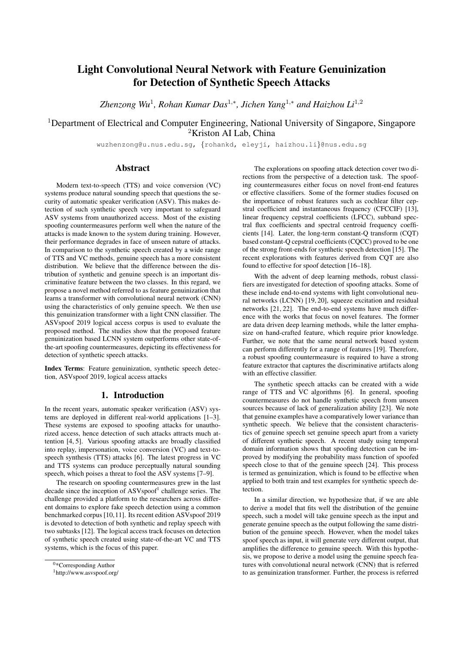# Light Convolutional Neural Network with Feature Genuinization for Detection of Synthetic Speech Attacks

*Zhenzong Wu*<sup>1</sup> *, Rohan Kumar Das*<sup>1</sup>,<sup>∗</sup> *, Jichen Yang*<sup>1</sup>,<sup>∗</sup> *and Haizhou Li*<sup>1</sup>,<sup>2</sup>

<sup>1</sup>Department of Electrical and Computer Engineering, National University of Singapore, Singapore <sup>2</sup>Kriston AI Lab, China

wuzhenzong@u.nus.edu.sg, {rohankd, eleyji, haizhou.li}@nus.edu.sg

# Abstract

Modern text-to-speech (TTS) and voice conversion (VC) systems produce natural sounding speech that questions the security of automatic speaker verification (ASV). This makes detection of such synthetic speech very important to safeguard ASV systems from unauthorized access. Most of the existing spoofing countermeasures perform well when the nature of the attacks is made known to the system during training. However, their performance degrades in face of unseen nature of attacks. In comparison to the synthetic speech created by a wide range of TTS and VC methods, genuine speech has a more consistent distribution. We believe that the difference between the distribution of synthetic and genuine speech is an important discriminative feature between the two classes. In this regard, we propose a novel method referred to as feature genuinization that learns a transformer with convolutional neural network (CNN) using the characteristics of only genuine speech. We then use this genuinization transformer with a light CNN classifier. The ASVspoof 2019 logical access corpus is used to evaluate the proposed method. The studies show that the proposed feature genuinization based LCNN system outperforms other state-ofthe-art spoofing countermeasures, depicting its effectiveness for detection of synthetic speech attacks.

Index Terms: Feature genuinization, synthetic speech detection, ASVspoof 2019, logical access attacks

# 1. Introduction

In the recent years, automatic speaker verification (ASV) systems are deployed in different real-world applications [1–3]. These systems are exposed to spoofing attacks for unauthorized access, hence detection of such attacks attracts much attention [4, 5]. Various spoofing attacks are broadly classified into replay, impersonation, voice conversion (VC) and text-tospeech synthesis (TTS) attacks [6]. The latest progress in VC and TTS systems can produce perceptually natural sounding speech, which poises a threat to fool the ASV systems [7–9].

The research on spoofing countermeasures grew in the last decade since the inception of ASVspoof<sup>1</sup> challenge series. The challenge provided a platform to the researchers across different domains to explore fake speech detection using a common benchmarked corpus [10,11]. Its recent edition ASVspoof 2019 is devoted to detection of both synthetic and replay speech with two subtasks [12]. The logical access track focuses on detection of synthetic speech created using state-of-the-art VC and TTS systems, which is the focus of this paper.

The explorations on spoofing attack detection cover two directions from the perspective of a detection task. The spoofing countermeasures either focus on novel front-end features or effective classifiers. Some of the former studies focused on the importance of robust features such as cochlear filter cepstral coefficient and instantaneous frequency (CFCCIF) [13], linear frequency cepstral coefficients (LFCC), subband spectral flux coefficients and spectral centroid frequency coefficients [14]. Later, the long-term constant-Q transform (CQT) based constant-Q cepstral coefficients (CQCC) proved to be one of the strong front-ends for synthetic speech detection [15]. The recent explorations with features derived from CQT are also found to effective for spoof detection [16–18].

With the advent of deep learning methods, robust classifiers are investigated for detection of spoofing attacks. Some of these include end-to-end systems with light convolutional neural networks (LCNN) [19, 20], squeeze excitation and residual networks [21, 22]. The end-to-end systems have much difference with the works that focus on novel features. The former are data driven deep learning methods, while the latter emphasize on hand-crafted feature, which require prior knowledge. Further, we note that the same neural network based system can perform differently for a range of features [19]. Therefore, a robust spoofing countermeasure is required to have a strong feature extractor that captures the discriminative artifacts along with an effective classifier.

The synthetic speech attacks can be created with a wide range of TTS and VC algorithms [6]. In general, spoofing countermeasures do not handle synthetic speech from unseen sources because of lack of generalization ability [23]. We note that genuine examples have a comparatively lower variance than synthetic speech. We believe that the consistent characteristics of genuine speech set genuine speech apart from a variety of different synthetic speech. A recent study using temporal domain information shows that spoofing detection can be improved by modifying the probability mass function of spoofed speech close to that of the genuine speech [24]. This process is termed as genuinization, which is found to be effective when applied to both train and test examples for synthetic speech detection.

In a similar direction, we hypothesize that, if we are able to derive a model that fits well the distribution of the genuine speech, such a model will take genuine speech as the input and generate genuine speech as the output following the same distribution of the genuine speech. However, when the model takes spoof speech as input, it will generate very different output, that amplifies the difference to genuine speech. With this hypothesis, we propose to derive a model using the genuine speech features with convolutional neural network (CNN) that is referred to as genuinization transformer. Further, the process is referred

 $0*Corresponding Author$ 

<sup>1</sup>http://www.asvspoof.org/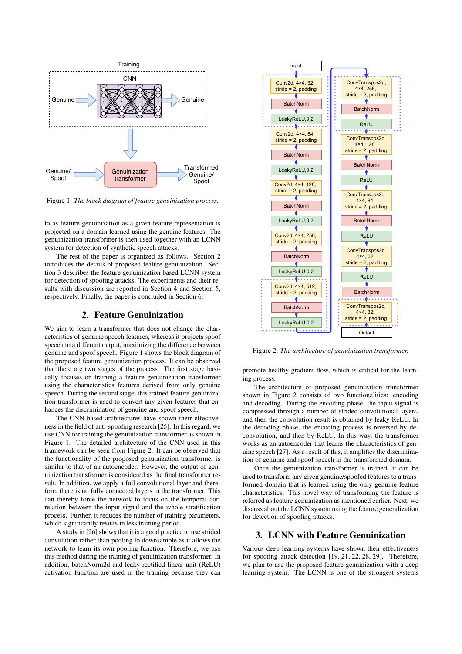

Figure 1: *The block diagram of feature genuinization process.*

system for detection of synthetic speech attacks. to as feature genuinization as a given feature representation is projected on a domain learned using the genuine features. The genuinization transformer is then used together with an LCNN

The rest of the paper is organized as follows. Section 2 introduces the details of proposed feature genuinization. Section 3 describes the feature genuinization based LCNN system for detection of spoofing attacks. The experiments and their results with discussion are reported in Section 4 and Section 5, respectively. Finally, the paper is concluded in Section 6.

#### 2. Feature Genuinization

We aim to learn a transformer that does not change the characteristics of genuine speech features, whereas it projects spoof speech to a different output, maximizing the difference between genuine and spoof speech. Figure 1 shows the block diagram of the proposed feature genuinization process. It can be observed that there are two stages of the process. The first stage basically focuses on training a feature genuinization transformer using the characteristics features derived from only genuine speech. During the second stage, this trained feature genuinization transformer is used to convert any given features that enhances the discrimination of genuine and spoof speech.

The CNN based architectures have shown their effectiveness in the field of anti-spoofing research [25]. In this regard, we use CNN for training the genuinization transformer as shown in Figure 1. The detailed architecture of the CNN used in this framework can be seen from Figure 2. It can be observed that the functionality of the proposed genuinization transformer is similar to that of an autoencoder. However, the output of genuinization transformer is considered as the final transformer result. In addition, we apply a full convolutional layer and therefore, there is no fully connected layers in the transformer. This can thereby force the network to focus on the temporal correlation between the input signal and the whole stratification process. Further, it reduces the number of training parameters, which significantly results in less training period.

A study in [26] shows that it is a good practice to use strided convolution rather than pooling to downsample as it allows the network to learn its own pooling function. Therefore, we use this method during the training of genuinization transformer. In addition, batchNorm2d and leaky rectified linear unit (ReLU) activation function are used in the training because they can



Figure 2: *The architecture of genuinization transformer.*

promote healthy gradient flow, which is critical for the learning process.

The architecture of proposed genuinization transformer shown in Figure 2 consists of two functionalities: encoding and decoding. During the encoding phase, the input signal is compressed through a number of strided convolutional layers, and then the convolution result is obtained by leaky ReLU. In the decoding phase, the encoding process is reversed by deconvolution, and then by ReLU. In this way, the transformer works as an autoencoder that learns the characteristics of genuine speech [27]. As a result of this, it amplifies the discrimination of genuine and spoof speech in the transformed domain.

Once the genuinization transformer is trained, it can be used to transform any given genuine/spoofed features to a transformed domain that is learned using the only genuine feature characteristics. This novel way of transforming the feature is referred as feature genuinization as mentioned earlier. Next, we discuss about the LCNN system using the feature generalization for detection of spoofing attacks.

## 3. LCNN with Feature Genuinization

Various deep learning systems have shown their effectiveness for spoofing attack detection [19, 21, 22, 28, 29]. Therefore, we plan to use the proposed feature genuinization with a deep learning system. The LCNN is one of the strongest systems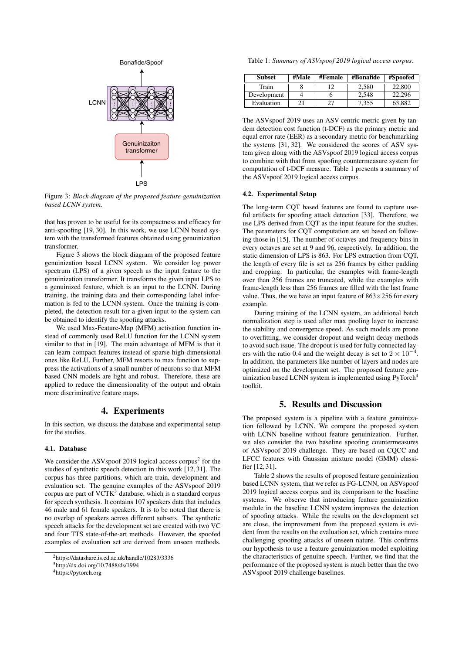

Figure 3: *Block diagram of the proposed feature genuinization based LCNN system.*

that has proven to be useful for its compactness and efficacy for anti-spoofing [19, 30]. In this work, we use LCNN based system with the transformed features obtained using genuinization transformer.

Figure 3 shows the block diagram of the proposed feature genuinization based LCNN system. We consider log power spectrum (LPS) of a given speech as the input feature to the genuinization transformer. It transforms the given input LPS to a genuinized feature, which is an input to the LCNN. During training, the training data and their corresponding label information is fed to the LCNN system. Once the training is completed, the detection result for a given input to the system can be obtained to identify the spoofing attacks.

We used Max-Feature-Map (MFM) activation function instead of commonly used ReLU function for the LCNN system similar to that in [19]. The main advantage of MFM is that it can learn compact features instead of sparse high-dimensional ones like ReLU. Further, MFM resorts to max function to suppress the activations of a small number of neurons so that MFM based CNN models are light and robust. Therefore, these are applied to reduce the dimensionality of the output and obtain more discriminative feature maps.

## 4. Experiments

In this section, we discuss the database and experimental setup for the studies.

#### 4.1. Database

We consider the ASV spoof 2019 logical access corpus<sup>2</sup> for the studies of synthetic speech detection in this work [12, 31]. The corpus has three partitions, which are train, development and evaluation set. The genuine examples of the ASVspoof 2019 corpus are part of VCTK<sup>3</sup> database, which is a standard corpus for speech synthesis. It contains 107 speakers data that includes 46 male and 61 female speakers. It is to be noted that there is no overlap of speakers across different subsets. The synthetic speech attacks for the development set are created with two VC and four TTS state-of-the-art methods. However, the spoofed examples of evaluation set are derived from unseen methods.

Table 1: *Summary of ASVspoof 2019 logical access corpus.*

| <b>Subset</b> | #Male | #Female | #Bonafide | #Spoofed |
|---------------|-------|---------|-----------|----------|
| Train         |       |         | 2,580     | 22,800   |
| Development   |       |         | 2.548     | 22.296   |
| Evaluation    |       |         | 7,355     | 63,882   |

The ASVspoof 2019 uses an ASV-centric metric given by tandem detection cost function (t-DCF) as the primary metric and equal error rate (EER) as a secondary metric for benchmarking the systems [31, 32]. We considered the scores of ASV system given along with the ASVspoof 2019 logical access corpus to combine with that from spoofing countermeasure system for computation of t-DCF measure. Table 1 presents a summary of the ASVspoof 2019 logical access corpus.

#### 4.2. Experimental Setup

The long-term CQT based features are found to capture useful artifacts for spoofing attack detection [33]. Therefore, we use LPS derived from CQT as the input feature for the studies. The parameters for CQT computation are set based on following those in [15]. The number of octaves and frequency bins in every octaves are set at 9 and 96, respectively. In addition, the static dimension of LPS is 863. For LPS extraction from CQT, the length of every file is set as 256 frames by either padding and cropping. In particular, the examples with frame-length over than 256 frames are truncated, while the examples with frame-length less than 256 frames are filled with the last frame value. Thus, the we have an input feature of  $863\times256$  for every example.

During training of the LCNN system, an additional batch normalization step is used after max pooling layer to increase the stability and convergence speed. As such models are prone to overfitting, we consider dropout and weight decay methods to avoid such issue. The dropout is used for fully connected layers with the ratio 0.4 and the weight decay is set to  $2 \times 10^{-4}$ . In addition, the parameters like number of layers and nodes are optimized on the development set. The proposed feature genuinization based LCNN system is implemented using PyTorch<sup>4</sup> toolkit.

# 5. Results and Discussion

The proposed system is a pipeline with a feature genuinization followed by LCNN. We compare the proposed system with LCNN baseline without feature genuinization. Further, we also consider the two baseline spoofing countermeasures of ASVspoof 2019 challenge. They are based on CQCC and LFCC features with Gaussian mixture model (GMM) classifier [12, 31].

Table 2 shows the results of proposed feature genuinization based LCNN system, that we refer as FG-LCNN, on ASVspoof 2019 logical access corpus and its comparison to the baseline systems. We observe that introducing feature genuinization module in the baseline LCNN system improves the detection of spoofing attacks. While the results on the development set are close, the improvement from the proposed system is evident from the results on the evaluation set, which contains more challenging spoofing attacks of unseen nature. This confirms our hypothesis to use a feature genuinization model exploiting the characteristics of genuine speech. Further, we find that the performance of the proposed system is much better than the two ASVspoof 2019 challenge baselines.

<sup>2</sup>https://datashare.is.ed.ac.uk/handle/10283/3336

<sup>3</sup>http://dx.doi.org/10.7488/ds/1994

<sup>4</sup>https://pytorch.org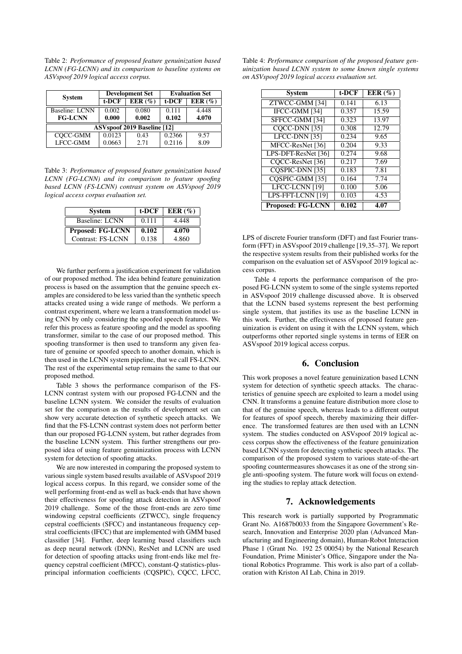Table 2: *Performance of proposed feature genuinization based LCNN (FG-LCNN) and its comparison to baseline systems on ASVspoof 2019 logical access corpus.*

| <b>System</b>                      | <b>Development Set</b> |        | <b>Evaluation Set</b> |            |  |  |  |
|------------------------------------|------------------------|--------|-----------------------|------------|--|--|--|
|                                    | t-DCF                  | EER(%) | t-DCF                 | EER $(\%)$ |  |  |  |
| Baseline: LCNN                     | 0.002                  | 0.080  | 0.111                 | 4.448      |  |  |  |
| <b>FG-LCNN</b>                     | 0.000                  | 0.002  | 0.102                 | 4.070      |  |  |  |
| <b>ASVspoof 2019 Baseline [12]</b> |                        |        |                       |            |  |  |  |
| $CQCC-GMM$                         | 0.0123                 | 0.43   | 0.2366                | 9.57       |  |  |  |
| LFCC-GMM                           | 0.0663                 | 2.71   | 0.2116                | 8.09       |  |  |  |

Table 3: *Performance of proposed feature genuinization based LCNN (FG-LCNN) and its comparison to feature spoofing based LCNN (FS-LCNN) contrast system on ASVspoof 2019 logical access corpus evaluation set.*

| <b>System</b>           | t-DCF | EER $(\%)$ |
|-------------------------|-------|------------|
| Baseline: LCNN          | 0.111 | 4.448      |
| <b>Prposed: FG-LCNN</b> | 0.102 | 4.070      |
| Contrast: FS-LCNN       | 0.138 | 4.860      |

We further perform a justification experiment for validation of our proposed method. The idea behind feature genuinization process is based on the assumption that the genuine speech examples are considered to be less varied than the synthetic speech attacks created using a wide range of methods. We perform a contrast experiment, where we learn a transformation model using CNN by only considering the spoofed speech features. We refer this process as feature spoofing and the model as spoofing transformer, similar to the case of our proposed method. This spoofing transformer is then used to transform any given feature of genuine or spoofed speech to another domain, which is then used in the LCNN system pipeline, that we call FS-LCNN. The rest of the experimental setup remains the same to that our proposed method.

Table 3 shows the performance comparison of the FS-LCNN contrast system with our proposed FG-LCNN and the baseline LCNN system. We consider the results of evaluation set for the comparison as the results of development set can show very accurate detection of synthetic speech attacks. We find that the FS-LCNN contrast system does not perform better than our proposed FG-LCNN system, but rather degrades from the baseline LCNN system. This further strengthens our proposed idea of using feature genuinization process with LCNN system for detection of spoofing attacks.

We are now interested in comparing the proposed system to various single system based results available of ASVspoof 2019 logical access corpus. In this regard, we consider some of the well performing front-end as well as back-ends that have shown their effectiveness for spoofing attack detection in ASVspoof 2019 challenge. Some of the those front-ends are zero time windowing cepstral coefficients (ZTWCC), single frequency cepstral coefficients (SFCC) and instantaneous frequency cepstral coefficients (IFCC) that are implemented with GMM based classifier [34]. Further, deep learning based classifiers such as deep neural network (DNN), ResNet and LCNN are used for detection of spoofing attacks using front-ends like mel frequency cepstral coefficient (MFCC), constant-Q statistics-plusprincipal information coefficients (CQSPIC), CQCC, LFCC,

Table 4: *Performance comparison of the proposed feature genuinization based LCNN system to some known single systems on ASVspoof 2019 logical access evaluation set.*

| <b>System</b>            | t-DCF | EER $(\%)$ |
|--------------------------|-------|------------|
| ZTWCC-GMM [34]           | 0.141 | 6.13       |
| IFCC-GMM [34]            | 0.357 | 15.59      |
| SFFCC-GMM [34]           | 0.323 | 13.97      |
| COCC-DNN [35]            | 0.308 | 12.79      |
| LFCC-DNN [35]            | 0.234 | 9.65       |
| MFCC-ResNet [36]         | 0.204 | 9.33       |
| LPS-DFT-ResNet [36]      | 0.274 | 9.68       |
| COCC-ResNet [36]         | 0.217 | 7.69       |
| COSPIC-DNN [35]          | 0.183 | 7.81       |
| COSPIC-GMM [35]          | 0.164 | 7.74       |
| LFCC-LCNN [19]           | 0.100 | 5.06       |
| LPS-FFT-LCNN [19]        | 0.103 | 4.53       |
| <b>Proposed: FG-LCNN</b> | 0.102 | 4.07       |

LPS of discrete Fourier transform (DFT) and fast Fourier transform (FFT) in ASVspoof 2019 challenge [19,35–37]. We report the respective system results from their published works for the comparison on the evaluation set of ASVspoof 2019 logical access corpus.

Table 4 reports the performance comparison of the proposed FG-LCNN system to some of the single systems reported in ASVspoof 2019 challenge discussed above. It is observed that the LCNN based systems represent the best performing single system, that justifies its use as the baseline LCNN in this work. Further, the effectiveness of proposed feature genuinization is evident on using it with the LCNN system, which outperforms other reported single systems in terms of EER on ASVspoof 2019 logical access corpus.

### 6. Conclusion

This work proposes a novel feature genuinization based LCNN system for detection of synthetic speech attacks. The characteristics of genuine speech are exploited to learn a model using CNN. It transforms a genuine feature distribution more close to that of the genuine speech, whereas leads to a different output for features of spoof speech, thereby maximizing their difference. The transformed features are then used with an LCNN system. The studies conducted on ASVspoof 2019 logical access corpus show the effectiveness of the feature genuinization based LCNN system for detecting synthetic speech attacks. The comparison of the proposed system to various state-of-the-art spoofing countermeasures showcases it as one of the strong single anti-spoofing system. The future work will focus on extending the studies to replay attack detection.

## 7. Acknowledgements

This research work is partially supported by Programmatic Grant No. A1687b0033 from the Singapore Government's Research, Innovation and Enterprise 2020 plan (Advanced Manufacturing and Engineering domain), Human-Robot Interaction Phase 1 (Grant No. 192 25 00054) by the National Research Foundation, Prime Minister's Office, Singapore under the National Robotics Programme. This work is also part of a collaboration with Kriston AI Lab, China in 2019.